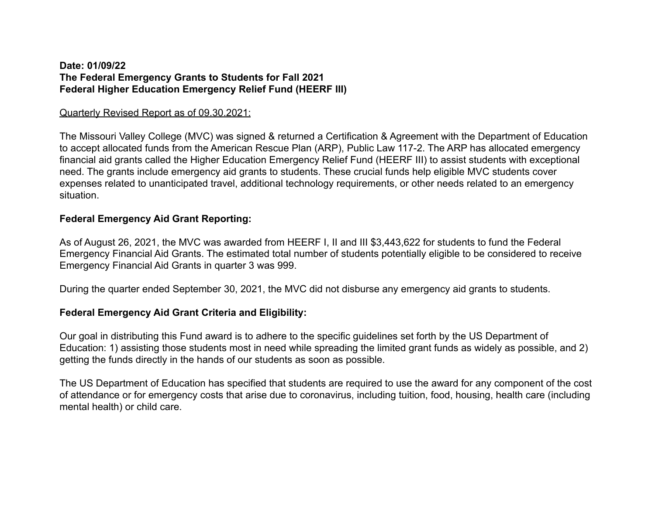#### **Date: 01/09/22 The Federal Emergency Grants to Students for Fall 2021 Federal Higher Education Emergency Relief Fund (HEERF III)**

#### Quarterly Revised Report as of 09.30.2021:

The Missouri Valley College (MVC) was signed & returned a Certification & Agreement with the Department of Education to accept allocated funds from the American Rescue Plan (ARP), Public Law 117-2. The ARP has allocated emergency financial aid grants called the Higher Education Emergency Relief Fund (HEERF III) to assist students with exceptional need. The grants include emergency aid grants to students. These crucial funds help eligible MVC students cover expenses related to unanticipated travel, additional technology requirements, or other needs related to an emergency situation.

### **Federal Emergency Aid Grant Reporting:**

As of August 26, 2021, the MVC was awarded from HEERF I, II and III \$3,443,622 for students to fund the Federal Emergency Financial Aid Grants. The estimated total number of students potentially eligible to be considered to receive Emergency Financial Aid Grants in quarter 3 was 999.

During the quarter ended September 30, 2021, the MVC did not disburse any emergency aid grants to students.

#### **Federal Emergency Aid Grant Criteria and Eligibility:**

Our goal in distributing this Fund award is to adhere to the specific guidelines set forth by the US Department of Education: 1) assisting those students most in need while spreading the limited grant funds as widely as possible, and 2) getting the funds directly in the hands of our students as soon as possible.

The US Department of Education has specified that students are required to use the award for any component of the cost of attendance or for emergency costs that arise due to coronavirus, including tuition, food, housing, health care (including mental health) or child care.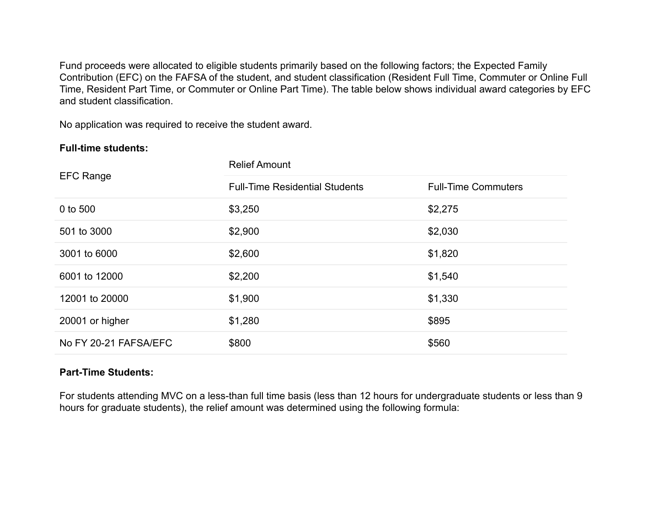Fund proceeds were allocated to eligible students primarily based on the following factors; the Expected Family Contribution (EFC) on the FAFSA of the student, and student classification (Resident Full Time, Commuter or Online Full Time, Resident Part Time, or Commuter or Online Part Time). The table below shows individual award categories by EFC and student classification.

No application was required to receive the student award.

## **Full-time students:**

| <b>EFC Range</b>      | <b>Relief Amount</b>                  |                            |
|-----------------------|---------------------------------------|----------------------------|
|                       | <b>Full-Time Residential Students</b> | <b>Full-Time Commuters</b> |
| 0 to 500              | \$3,250                               | \$2,275                    |
| 501 to 3000           | \$2,900                               | \$2,030                    |
| 3001 to 6000          | \$2,600                               | \$1,820                    |
| 6001 to 12000         | \$2,200                               | \$1,540                    |
| 12001 to 20000        | \$1,900                               | \$1,330                    |
| 20001 or higher       | \$1,280                               | \$895                      |
| No FY 20-21 FAFSA/EFC | \$800                                 | \$560                      |

# **Part-Time Students:**

For students attending MVC on a less-than full time basis (less than 12 hours for undergraduate students or less than 9 hours for graduate students), the relief amount was determined using the following formula: